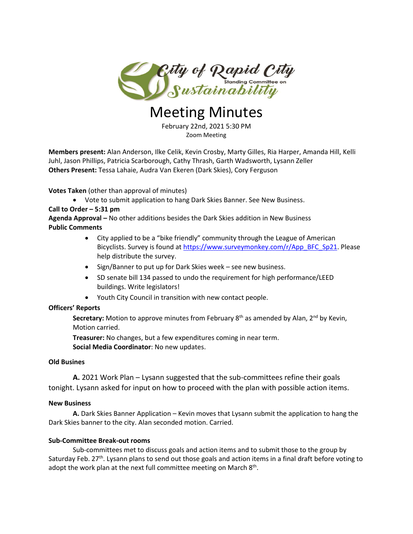

# Meeting Minutes

February 22nd, 2021 5:30 PM Zoom Meeting

**Members present:** Alan Anderson, Ilke Celik, Kevin Crosby, Marty Gilles, Ria Harper, Amanda Hill, Kelli Juhl, Jason Phillips, Patricia Scarborough, Cathy Thrash, Garth Wadsworth, Lysann Zeller **Others Present:** Tessa Lahaie, Audra Van Ekeren (Dark Skies), Cory Ferguson

**Votes Taken** (other than approval of minutes)

Vote to submit application to hang Dark Skies Banner. See New Business.

#### **Call to Order – 5:31 pm**

**Agenda Approval –** No other additions besides the Dark Skies addition in New Business **Public Comments**

- City applied to be a "bike friendly" community through the League of American Bicyclists. Survey is found a[t https://www.surveymonkey.com/r/App\\_BFC\\_Sp21.](https://www.surveymonkey.com/r/App_BFC_Sp21?fbclid=IwAR0h5nob0OCPi__ga6xwd20L5r02iFv-xrNXJLa6SDLg5WM-RBfq9RRaYrQ) Please help distribute the survey.
- Sign/Banner to put up for Dark Skies week see new business.
- SD senate bill 134 passed to undo the requirement for high performance/LEED buildings. Write legislators!
- Youth City Council in transition with new contact people.

## **Officers' Reports**

Secretary: Motion to approve minutes from February 8<sup>th</sup> as amended by Alan, 2<sup>nd</sup> by Kevin, Motion carried.

**Treasurer:** No changes, but a few expenditures coming in near term.

**Social Media Coordinator**: No new updates.

#### **Old Busines**

**A.** 2021 Work Plan – Lysann suggested that the sub-committees refine their goals tonight. Lysann asked for input on how to proceed with the plan with possible action items.

#### **New Business**

**A.** Dark Skies Banner Application – Kevin moves that Lysann submit the application to hang the Dark Skies banner to the city. Alan seconded motion. Carried.

#### **Sub-Committee Break-out rooms**

Sub-committees met to discuss goals and action items and to submit those to the group by Saturday Feb. 27<sup>th</sup>. Lysann plans to send out those goals and action items in a final draft before voting to adopt the work plan at the next full committee meeting on March  $8<sup>th</sup>$ .